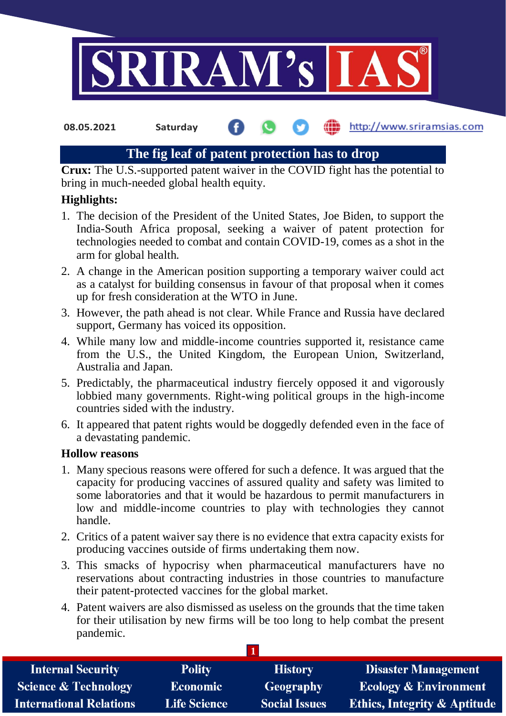

**08.05.2021 Saturday**

http://www.sriramsias.com

# **The fig leaf of patent protection has to drop**

**Crux:** The U.S.-supported patent waiver in the COVID fight has the potential to bring in much-needed global health equity.

# **Highlights:**

- 1. The decision of the President of the United States, Joe Biden, to support the India-South Africa proposal, seeking a waiver of patent protection for technologies needed to combat and contain COVID-19, comes as a shot in the arm for global health.
- 2. A change in the American position supporting a temporary waiver could act as a catalyst for building consensus in favour of that proposal when it comes up for fresh consideration at the WTO in June.
- 3. However, the path ahead is not clear. While France and Russia have declared support, Germany has voiced its opposition.
- 4. While many low and middle-income countries supported it, resistance came from the U.S., the United Kingdom, the European Union, Switzerland, Australia and Japan.
- 5. Predictably, the pharmaceutical industry fiercely opposed it and vigorously lobbied many governments. Right-wing political groups in the high-income countries sided with the industry.
- 6. It appeared that patent rights would be doggedly defended even in the face of a devastating pandemic.

# **Hollow reasons**

- 1. Many specious reasons were offered for such a defence. It was argued that the capacity for producing vaccines of assured quality and safety was limited to some laboratories and that it would be hazardous to permit manufacturers in low and middle-income countries to play with technologies they cannot handle.
- 2. Critics of a patent waiver say there is no evidence that extra capacity exists for producing vaccines outside of firms undertaking them now.
- 3. This smacks of hypocrisy when pharmaceutical manufacturers have no reservations about contracting industries in those countries to manufacture their patent-protected vaccines for the global market.
- 4. Patent waivers are also dismissed as useless on the grounds that the time taken for their utilisation by new firms will be too long to help combat the present pandemic.

| <b>Internal Security</b>        | <b>Polity</b>       | <b>History</b>       | <b>Disaster Management</b>              |
|---------------------------------|---------------------|----------------------|-----------------------------------------|
| <b>Science &amp; Technology</b> | <b>Economic</b>     | Geography            | <b>Ecology &amp; Environment</b>        |
| International Relations         | <b>Life Science</b> | <b>Social Issues</b> | <b>Ethics, Integrity &amp; Aptitude</b> |